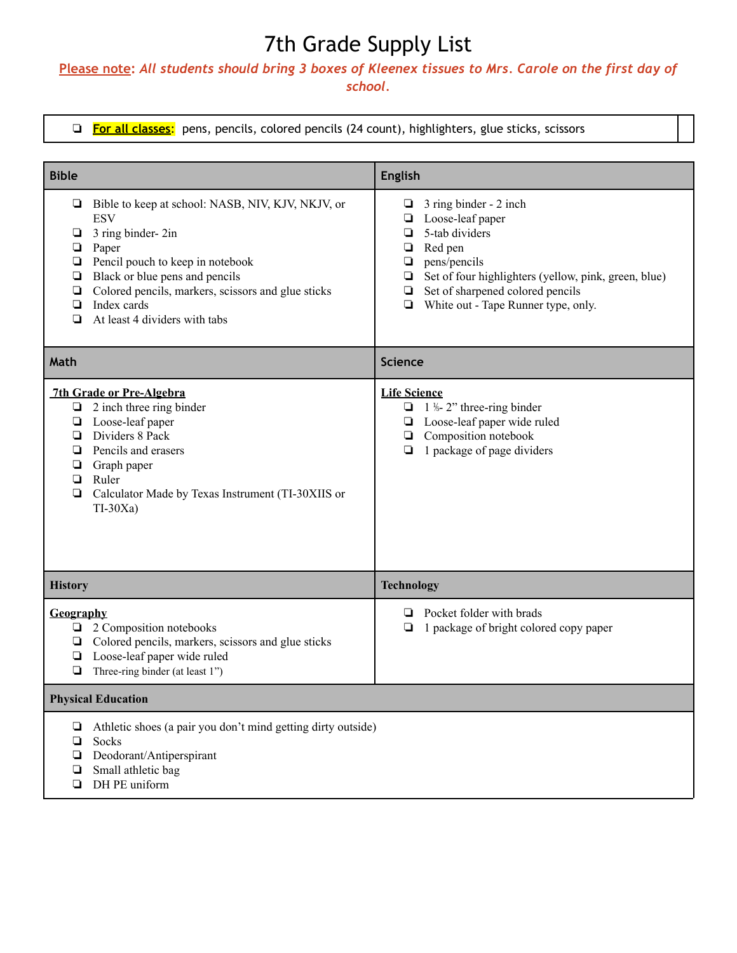#### Please note: All students should bring 3 boxes of Kleenex tissues to Mrs. Carole on the first day of

*school.*

| <b>Bible</b>                                                                                                                                                                                                                                                                                                      | <b>English</b>                                                                                                                                                                                                                                                |
|-------------------------------------------------------------------------------------------------------------------------------------------------------------------------------------------------------------------------------------------------------------------------------------------------------------------|---------------------------------------------------------------------------------------------------------------------------------------------------------------------------------------------------------------------------------------------------------------|
| Bible to keep at school: NASB, NIV, KJV, NKJV, or<br>❏<br><b>ESV</b><br>3 ring binder-2in<br>⊔<br>Paper<br>❏<br>Pencil pouch to keep in notebook<br>❏<br>Black or blue pens and pencils<br>❏<br>Colored pencils, markers, scissors and glue sticks<br>❏<br>Index cards<br>❏<br>At least 4 dividers with tabs<br>❏ | 3 ring binder - 2 inch<br>❏<br>Loose-leaf paper<br>5-tab dividers<br>❏<br>Red pen<br>❏<br>pens/pencils<br>❏<br>Set of four highlighters (yellow, pink, green, blue)<br>❏<br>Set of sharpened colored pencils<br>❏<br>White out - Tape Runner type, only.<br>❏ |
| Math                                                                                                                                                                                                                                                                                                              | <b>Science</b>                                                                                                                                                                                                                                                |
| 7th Grade or Pre-Algebra<br>$\Box$ 2 inch three ring binder<br>Loose-leaf paper<br>❏<br>Dividers 8 Pack<br>❏<br>Pencils and erasers<br>❏<br>Graph paper<br>❏<br>Ruler<br>❏<br>❏<br>Calculator Made by Texas Instrument (TI-30XIIS or<br>$TI-30Xa)$                                                                | <b>Life Science</b><br>$\Box$ 1 <sup>1</sup> / <sub>2</sub> 2 <sup>3</sup> three-ring binder<br>Loose-leaf paper wide ruled<br>⊔<br>Composition notebook<br>٠<br>1 package of page dividers<br>❏                                                              |
| <b>History</b>                                                                                                                                                                                                                                                                                                    | <b>Technology</b>                                                                                                                                                                                                                                             |
| Geography<br>2 Composition notebooks<br>❏<br>Colored pencils, markers, scissors and glue sticks<br>❏<br>Loose-leaf paper wide ruled<br>❏<br>Three-ring binder (at least 1")<br>❏                                                                                                                                  | Pocket folder with brads<br>❏<br>1 package of bright colored copy paper<br>❏                                                                                                                                                                                  |
| <b>Physical Education</b>                                                                                                                                                                                                                                                                                         |                                                                                                                                                                                                                                                               |
| Athletic shoes (a pair you don't mind getting dirty outside)<br>❏<br>Socks<br>❏<br>Deodorant/Antiperspirant<br>❏<br>Small athletic bag<br>❏<br>DH PE uniform<br>❏                                                                                                                                                 |                                                                                                                                                                                                                                                               |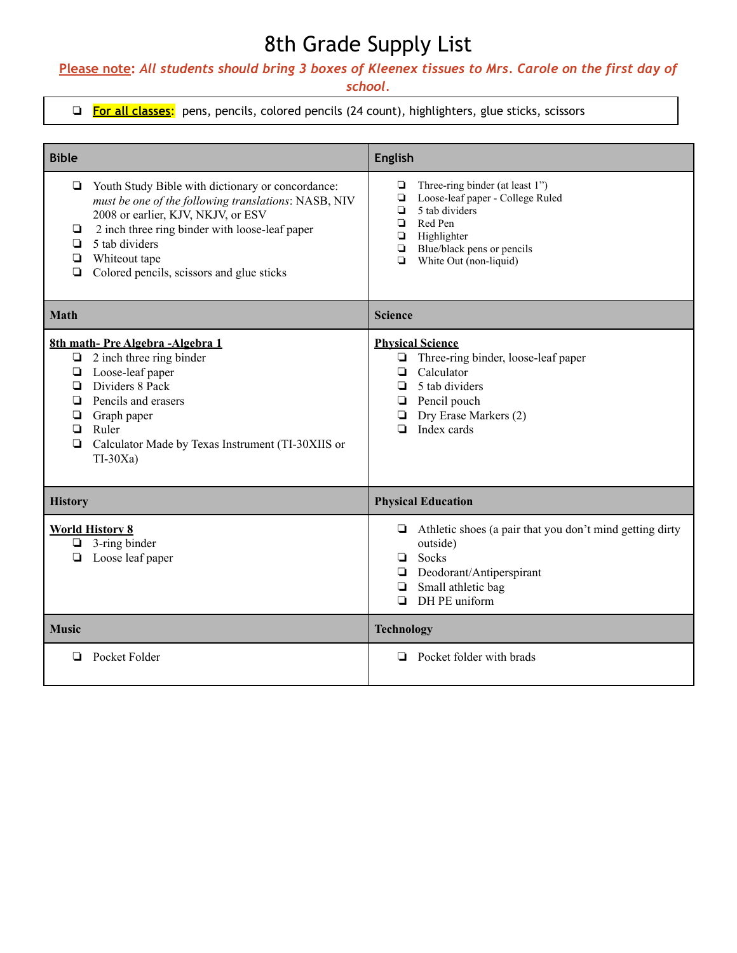#### Please note: All students should bring 3 boxes of Kleenex tissues to Mrs. Carole on the first day of

*school.*

| <b>Bible</b>                                                                                                                                                                                                                                                                                               | <b>English</b>                                                                                                                                                                                             |
|------------------------------------------------------------------------------------------------------------------------------------------------------------------------------------------------------------------------------------------------------------------------------------------------------------|------------------------------------------------------------------------------------------------------------------------------------------------------------------------------------------------------------|
| Youth Study Bible with dictionary or concordance:<br>❏<br>must be one of the following translations: NASB, NIV<br>2008 or earlier, KJV, NKJV, or ESV<br>2 inch three ring binder with loose-leaf paper<br>❏<br>5 tab dividers<br>❏<br>Whiteout tape<br>❏<br>Colored pencils, scissors and glue sticks<br>❏ | Three-ring binder (at least 1")<br>❏<br>Loose-leaf paper - College Ruled<br>o<br>5 tab dividers<br>❏<br>Red Pen<br>❏<br>❏<br>Highlighter<br>Blue/black pens or pencils<br>❏<br>White Out (non-liquid)<br>❏ |
| <b>Math</b>                                                                                                                                                                                                                                                                                                | <b>Science</b>                                                                                                                                                                                             |
| 8th math-Pre Algebra - Algebra 1<br>$\Box$ 2 inch three ring binder<br>Loose-leaf paper<br>❏<br>Dividers 8 Pack<br>$\Box$<br>Pencils and erasers<br>❏<br>Graph paper<br>◘<br>▫<br>Ruler<br>$\Box$<br>Calculator Made by Texas Instrument (TI-30XIIS or<br>$TI-30Xa)$                                       | <b>Physical Science</b><br>Three-ring binder, loose-leaf paper<br>$\Box$<br>Calculator<br>❏<br>5 tab dividers<br>◘<br>Pencil pouch<br>❏<br>Dry Erase Markers (2)<br>⊔<br>Index cards<br>◘                  |
| <b>History</b>                                                                                                                                                                                                                                                                                             | <b>Physical Education</b>                                                                                                                                                                                  |
| <b>World History 8</b><br>$\Box$ 3-ring binder<br>Loose leaf paper<br>❏                                                                                                                                                                                                                                    | Athletic shoes (a pair that you don't mind getting dirty<br>⊔<br>outside)<br>Socks<br>Deodorant/Antiperspirant<br>❏<br>Small athletic bag<br>⋼<br>DH PE uniform<br>□                                       |
| <b>Music</b>                                                                                                                                                                                                                                                                                               | <b>Technology</b>                                                                                                                                                                                          |
| Pocket Folder<br>❏                                                                                                                                                                                                                                                                                         | Pocket folder with brads<br>❏                                                                                                                                                                              |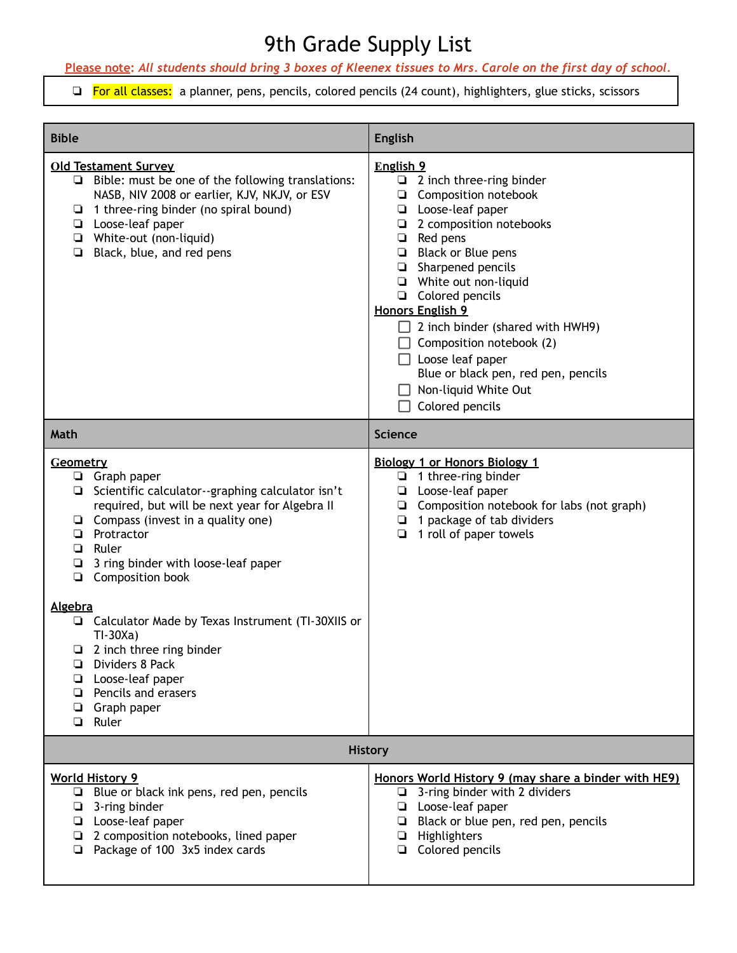Please note: All students should bring 3 boxes of Kleenex tissues to Mrs. Carole on the first day of school.

| <b>Bible</b>                                                                                                                                                                                                                                                                                                                                                                                                                                                                                                                                   | <b>English</b>                                                                                                                                                                                                                                                                                                                                                                                                                                                         |  |
|------------------------------------------------------------------------------------------------------------------------------------------------------------------------------------------------------------------------------------------------------------------------------------------------------------------------------------------------------------------------------------------------------------------------------------------------------------------------------------------------------------------------------------------------|------------------------------------------------------------------------------------------------------------------------------------------------------------------------------------------------------------------------------------------------------------------------------------------------------------------------------------------------------------------------------------------------------------------------------------------------------------------------|--|
| <b>Old Testament Survey</b><br>$\Box$ Bible: must be one of the following translations:<br>NASB, NIV 2008 or earlier, KJV, NKJV, or ESV<br>$\Box$ 1 three-ring binder (no spiral bound)<br>Loose-leaf paper<br>❏<br>White-out (non-liquid)<br>❏<br>Black, blue, and red pens<br>❏                                                                                                                                                                                                                                                              | <b>English 9</b><br>$\Box$ 2 inch three-ring binder<br>Composition notebook<br>❏<br>Loose-leaf paper<br>❏<br>2 composition notebooks<br>Red pens<br>❏<br>Black or Blue pens<br>❏<br>Sharpened pencils<br>White out non-liquid<br>$\Box$ Colored pencils<br>Honors English 9<br>$\Box$ 2 inch binder (shared with HWH9)<br>$\Box$ Composition notebook (2)<br>$\Box$ Loose leaf paper<br>Blue or black pen, red pen, pencils<br>Non-liquid White Out<br>Colored pencils |  |
| Math                                                                                                                                                                                                                                                                                                                                                                                                                                                                                                                                           | <b>Science</b>                                                                                                                                                                                                                                                                                                                                                                                                                                                         |  |
| Geometry<br>$\Box$ Graph paper<br>$\Box$ Scientific calculator--graphing calculator isn't<br>required, but will be next year for Algebra II<br>Compass (invest in a quality one)<br>❏<br>Protractor<br>❏<br>Ruler<br>❏<br>3 ring binder with loose-leaf paper<br>❏<br>$\Box$<br>Composition book<br><b>Algebra</b><br>$\Box$ Calculator Made by Texas Instrument (TI-30XIIS or<br>$TI-30Xa)$<br>$\Box$ 2 inch three ring binder<br>❏<br>Dividers 8 Pack<br>Loose-leaf paper<br>❏<br>Pencils and erasers<br>▫<br>Graph paper<br>❏<br>Ruler<br>▫ | <b>Biology 1 or Honors Biology 1</b><br>$\Box$ 1 three-ring binder<br>Loose-leaf paper<br>❏<br>Composition notebook for labs (not graph)<br>❏<br>1 package of tab dividers<br>❏<br>1 roll of paper towels<br>❏                                                                                                                                                                                                                                                         |  |
| <b>History</b>                                                                                                                                                                                                                                                                                                                                                                                                                                                                                                                                 |                                                                                                                                                                                                                                                                                                                                                                                                                                                                        |  |
| <b>World History 9</b><br>$\Box$ Blue or black ink pens, red pen, pencils<br>$\Box$ 3-ring binder<br><b>Loose-leaf paper</b><br>2 composition notebooks, lined paper<br>□<br>Package of 100 3x5 index cards<br>9.                                                                                                                                                                                                                                                                                                                              | Honors World History 9 (may share a binder with HE9)<br>$\Box$ 3-ring binder with 2 dividers<br>$\Box$ Loose-leaf paper<br>Black or blue pen, red pen, pencils<br>⊔<br>Highlighters<br>▫<br>Colored pencils<br>❏                                                                                                                                                                                                                                                       |  |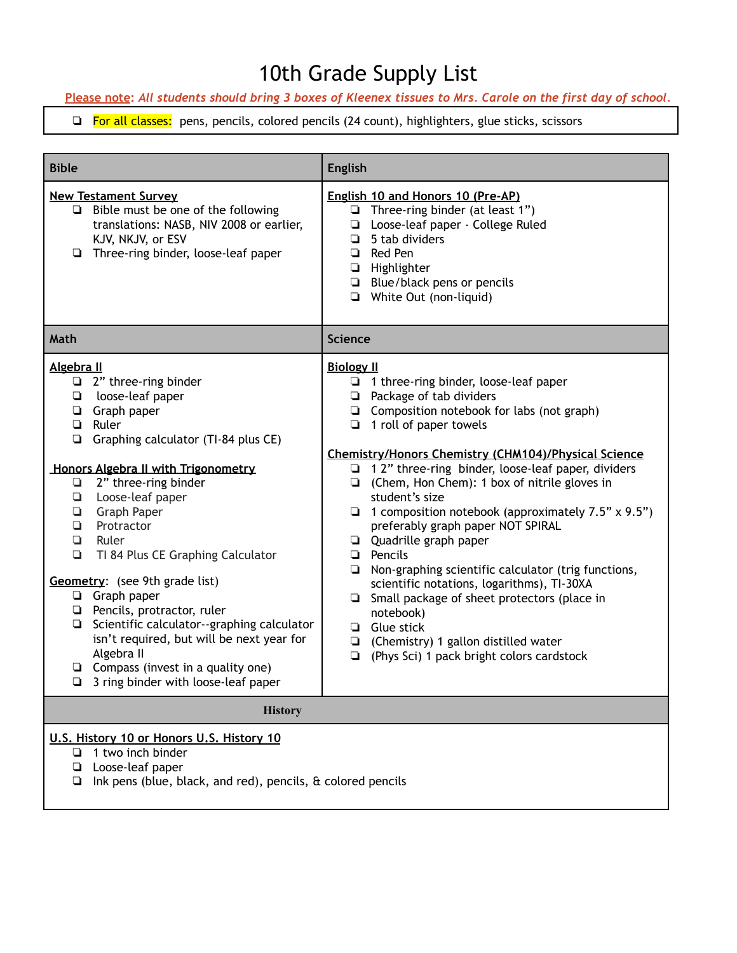Please note: All students should bring 3 boxes of Kleenex tissues to Mrs. Carole on the first day of school.

| <b>Bible</b>                                                                                                                                                                                                                                                                                                                                                                                                                                                                                                                                                                                                                                                                              | <b>English</b>                                                                                                                                                                                                                                                                                                                                                                                                                                                                                                                                                                                                                                                                                                                                                                                                               |  |
|-------------------------------------------------------------------------------------------------------------------------------------------------------------------------------------------------------------------------------------------------------------------------------------------------------------------------------------------------------------------------------------------------------------------------------------------------------------------------------------------------------------------------------------------------------------------------------------------------------------------------------------------------------------------------------------------|------------------------------------------------------------------------------------------------------------------------------------------------------------------------------------------------------------------------------------------------------------------------------------------------------------------------------------------------------------------------------------------------------------------------------------------------------------------------------------------------------------------------------------------------------------------------------------------------------------------------------------------------------------------------------------------------------------------------------------------------------------------------------------------------------------------------------|--|
| <b>New Testament Survey</b><br>$\Box$ Bible must be one of the following<br>translations: NASB, NIV 2008 or earlier,<br>KJV, NKJV, or ESV<br>$\Box$ Three-ring binder, loose-leaf paper                                                                                                                                                                                                                                                                                                                                                                                                                                                                                                   | English 10 and Honors 10 (Pre-AP)<br>$\Box$ Three-ring binder (at least 1")<br>Loose-leaf paper - College Ruled<br>❏<br>$\Box$ 5 tab dividers<br>Red Pen<br>$\Box$ Highlighter<br>$\Box$ Blue/black pens or pencils<br>$\Box$ White Out (non-liquid)                                                                                                                                                                                                                                                                                                                                                                                                                                                                                                                                                                         |  |
| Math                                                                                                                                                                                                                                                                                                                                                                                                                                                                                                                                                                                                                                                                                      | <b>Science</b>                                                                                                                                                                                                                                                                                                                                                                                                                                                                                                                                                                                                                                                                                                                                                                                                               |  |
| Algebra II<br>$\Box$ 2" three-ring binder<br>loose-leaf paper<br>$\Box$<br>Graph paper<br>❏<br>Ruler<br>$\Box$<br>Graphing calculator (TI-84 plus CE)<br>$\Box$<br>Honors Algebra II with Trigonometry<br>2" three-ring binder<br>❏<br>Loose-leaf paper<br>$\Box$<br><b>Graph Paper</b><br>$\Box$<br>Protractor<br>$\Box$<br>$\Box$<br>Ruler<br>TI 84 Plus CE Graphing Calculator<br>$\Box$<br>Geometry: (see 9th grade list)<br>$\Box$ Graph paper<br>Pencils, protractor, ruler<br>$\Box$ Scientific calculator--graphing calculator<br>isn't required, but will be next year for<br>Algebra II<br>$\Box$ Compass (invest in a quality one)<br>3 ring binder with loose-leaf paper<br>❏ | <b>Biology II</b><br>$\Box$ 1 three-ring binder, loose-leaf paper<br>$\Box$ Package of tab dividers<br>$\Box$ Composition notebook for labs (not graph)<br>$\Box$ 1 roll of paper towels<br>Chemistry/Honors Chemistry (CHM104)/Physical Science<br>$\Box$ 12" three-ring binder, loose-leaf paper, dividers<br>$\Box$ (Chem, Hon Chem): 1 box of nitrile gloves in<br>student's size<br>1 composition notebook (approximately 7.5" x 9.5")<br>❏<br>preferably graph paper NOT SPIRAL<br>Quadrille graph paper<br>$\Box$ Pencils<br>Non-graphing scientific calculator (trig functions,<br>❏<br>scientific notations, logarithms), TI-30XA<br>Small package of sheet protectors (place in<br>❏<br>notebook)<br>$\Box$ Glue stick<br>$\Box$ (Chemistry) 1 gallon distilled water<br>(Phys Sci) 1 pack bright colors cardstock |  |
| <b>History</b>                                                                                                                                                                                                                                                                                                                                                                                                                                                                                                                                                                                                                                                                            |                                                                                                                                                                                                                                                                                                                                                                                                                                                                                                                                                                                                                                                                                                                                                                                                                              |  |
| U.S. History 10 or Honors U.S. History 10<br>1 two inch binder<br>Q.<br>Loose-leaf paper<br>❏<br>Ink pens (blue, black, and red), pencils, & colored pencils<br>▫                                                                                                                                                                                                                                                                                                                                                                                                                                                                                                                         |                                                                                                                                                                                                                                                                                                                                                                                                                                                                                                                                                                                                                                                                                                                                                                                                                              |  |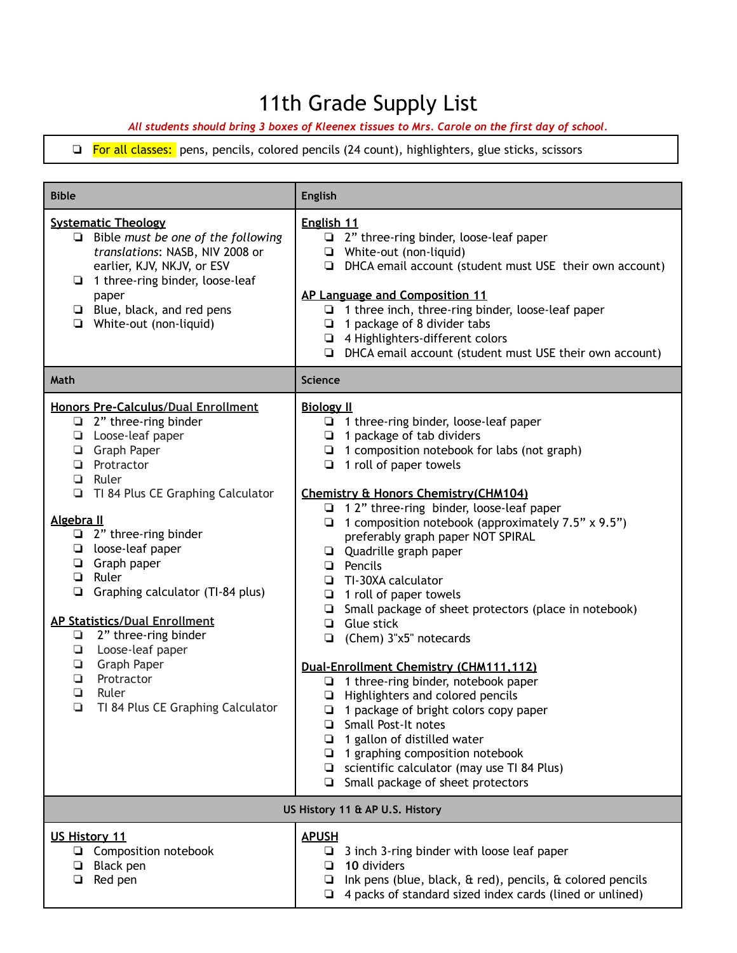*All students should bring 3 boxes of Kleenex tissues to Mrs. Carole on the first day of school.*

| <b>Bible</b>                                                                                                                                                                                                                                                                                                                                                                                                                                                                                                                                                           | <b>English</b>                                                                                                                                                                                                                                                                                                                                                                                                                                                                                                                                                                                                                                                                                                                                                                                                                                                                                                                                                                                               |
|------------------------------------------------------------------------------------------------------------------------------------------------------------------------------------------------------------------------------------------------------------------------------------------------------------------------------------------------------------------------------------------------------------------------------------------------------------------------------------------------------------------------------------------------------------------------|--------------------------------------------------------------------------------------------------------------------------------------------------------------------------------------------------------------------------------------------------------------------------------------------------------------------------------------------------------------------------------------------------------------------------------------------------------------------------------------------------------------------------------------------------------------------------------------------------------------------------------------------------------------------------------------------------------------------------------------------------------------------------------------------------------------------------------------------------------------------------------------------------------------------------------------------------------------------------------------------------------------|
| <b>Systematic Theology</b><br>Bible must be one of the following<br>❏<br>translations: NASB, NIV 2008 or<br>earlier, KJV, NKJV, or ESV<br>1 three-ring binder, loose-leaf<br>❏<br>paper<br>Blue, black, and red pens<br>❏<br>White-out (non-liquid)<br>❏                                                                                                                                                                                                                                                                                                               | English 11<br>$\Box$ 2" three-ring binder, loose-leaf paper<br>White-out (non-liquid)<br>$\Box$ DHCA email account (student must USE their own account)<br>AP Language and Composition 11<br>$\Box$ 1 three inch, three-ring binder, loose-leaf paper<br>1 package of 8 divider tabs<br>❏<br>4 Highlighters-different colors<br>$\Box$ DHCA email account (student must USE their own account)                                                                                                                                                                                                                                                                                                                                                                                                                                                                                                                                                                                                               |
| Math                                                                                                                                                                                                                                                                                                                                                                                                                                                                                                                                                                   | Science                                                                                                                                                                                                                                                                                                                                                                                                                                                                                                                                                                                                                                                                                                                                                                                                                                                                                                                                                                                                      |
| <b>Honors Pre-Calculus/Dual Enrollment</b><br>$\Box$ 2" three-ring binder<br>Loose-leaf paper<br>❏<br><b>Graph Paper</b><br>❏<br>Protractor<br>Q.<br>Ruler<br>❏<br>TI 84 Plus CE Graphing Calculator<br>Algebra II<br>$\Box$ 2" three-ring binder<br>loose-leaf paper<br>❏<br>Graph paper<br>❏<br>Ruler<br>$\Box$<br>Graphing calculator (TI-84 plus)<br>$\Box$<br><b>AP Statistics/Dual Enrollment</b><br>2" three-ring binder<br>❏<br>Loose-leaf paper<br>Q<br>Graph Paper<br>$\Box$<br>Protractor<br>Q<br>❏<br>Ruler<br>$\Box$<br>TI 84 Plus CE Graphing Calculator | <b>Biology II</b><br>$\Box$ 1 three-ring binder, loose-leaf paper<br>1 package of tab dividers<br>❏<br>$\Box$ 1 composition notebook for labs (not graph)<br>$\Box$ 1 roll of paper towels<br>Chemistry & Honors Chemistry (CHM104)<br>$\Box$ 12" three-ring binder, loose-leaf paper<br>1 composition notebook (approximately 7.5" x 9.5")<br>❏<br>preferably graph paper NOT SPIRAL<br>Quadrille graph paper<br>$\Box$ Pencils<br>TI-30XA calculator<br>1 roll of paper towels<br>❏<br>Small package of sheet protectors (place in notebook)<br>❏<br>$\Box$ Glue stick<br>(Chem) 3"x5" notecards<br>$\Box$<br>Dual-Enrollment Chemistry (CHM111,112)<br>$\Box$ 1 three-ring binder, notebook paper<br>$\Box$ Highlighters and colored pencils<br>1 package of bright colors copy paper<br>$\Box$<br>Small Post-It notes<br>❏<br>1 gallon of distilled water<br>❏<br>1 graphing composition notebook<br>Q.<br>$\Box$ scientific calculator (may use TI 84 Plus)<br>$\Box$ Small package of sheet protectors |
|                                                                                                                                                                                                                                                                                                                                                                                                                                                                                                                                                                        | US History 11 & AP U.S. History                                                                                                                                                                                                                                                                                                                                                                                                                                                                                                                                                                                                                                                                                                                                                                                                                                                                                                                                                                              |
| <b>US History 11</b><br>□ Composition notebook<br>Black pen<br>❏<br>Red pen<br>❏                                                                                                                                                                                                                                                                                                                                                                                                                                                                                       | <b>APUSH</b><br>$\Box$ 3 inch 3-ring binder with loose leaf paper<br>10 dividers<br>□<br>Ink pens (blue, black, & red), pencils, & colored pencils<br>❏<br>4 packs of standard sized index cards (lined or unlined)<br>□                                                                                                                                                                                                                                                                                                                                                                                                                                                                                                                                                                                                                                                                                                                                                                                     |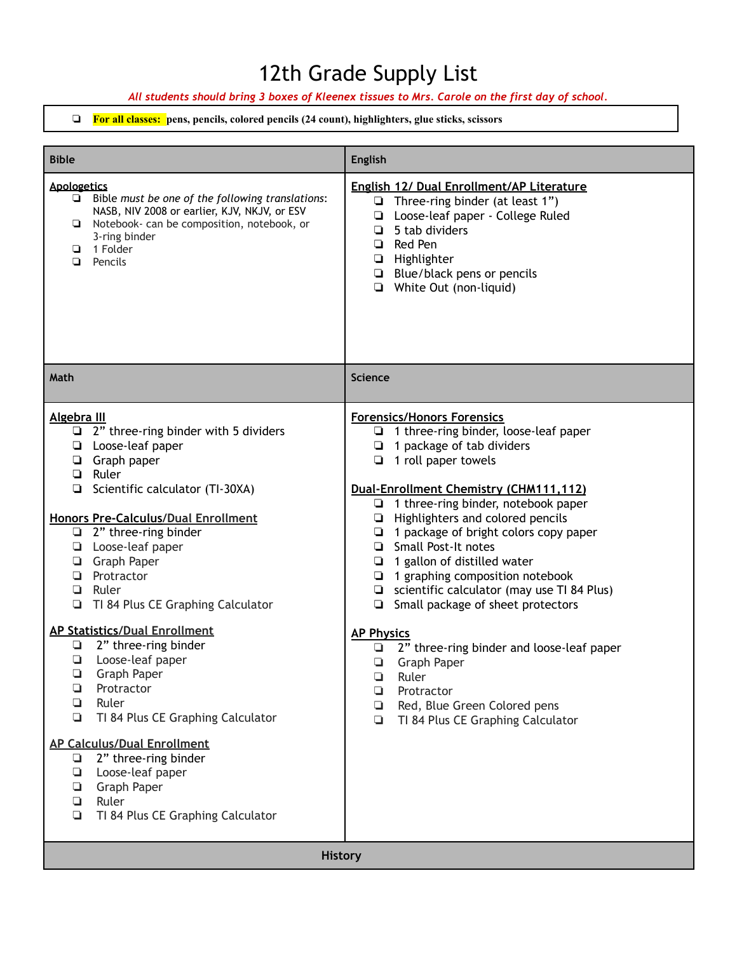*All students should bring 3 boxes of Kleenex tissues to Mrs. Carole on the first day of school.*

| <b>Bible</b>                                                                                                                                                                                                                                                                                                                                                                                                                                                                                                                                              | <b>English</b>                                                                                                                                                                                                                                                                                                                                                                                                                                                                                                                                                                                                                                                                                                                                                 |
|-----------------------------------------------------------------------------------------------------------------------------------------------------------------------------------------------------------------------------------------------------------------------------------------------------------------------------------------------------------------------------------------------------------------------------------------------------------------------------------------------------------------------------------------------------------|----------------------------------------------------------------------------------------------------------------------------------------------------------------------------------------------------------------------------------------------------------------------------------------------------------------------------------------------------------------------------------------------------------------------------------------------------------------------------------------------------------------------------------------------------------------------------------------------------------------------------------------------------------------------------------------------------------------------------------------------------------------|
| <b>Apologetics</b><br>Bible must be one of the following translations:<br>$\Box$<br>NASB, NIV 2008 or earlier, KJV, NKJV, or ESV<br>Notebook- can be composition, notebook, or<br>3-ring binder<br>□ 1 Folder<br>Pencils<br>$\Box$                                                                                                                                                                                                                                                                                                                        | English 12/ Dual Enrollment/AP Literature<br>$\Box$ Three-ring binder (at least 1")<br>Loose-leaf paper - College Ruled<br>$\Box$<br>5 tab dividers<br>Q.<br>$\Box$ Red Pen<br>$\Box$ Highlighter<br>$\Box$ Blue/black pens or pencils<br>$\Box$ White Out (non-liquid)                                                                                                                                                                                                                                                                                                                                                                                                                                                                                        |
| Math                                                                                                                                                                                                                                                                                                                                                                                                                                                                                                                                                      | Science                                                                                                                                                                                                                                                                                                                                                                                                                                                                                                                                                                                                                                                                                                                                                        |
| Algebra III<br>$\Box$ 2" three-ring binder with 5 dividers<br>$\Box$ Loose-leaf paper<br>$\Box$ Graph paper<br><b>Q</b> Ruler<br>□ Scientific calculator (TI-30XA)<br>Honors Pre-Calculus/Dual Enrollment<br>$\Box$ 2" three-ring binder<br>$\Box$ Loose-leaf paper<br>Graph Paper<br><b>D</b> Protractor<br><b>Q</b> Ruler<br>TI 84 Plus CE Graphing Calculator<br><b>AP Statistics/Dual Enrollment</b><br>2" three-ring binder<br>Loose-leaf paper<br>Q<br>o.<br>Graph Paper<br>❏<br>Protractor<br>Ruler<br>❏<br>TI 84 Plus CE Graphing Calculator<br>❏ | <b>Forensics/Honors Forensics</b><br>$\Box$ 1 three-ring binder, loose-leaf paper<br>1 package of tab dividers<br>❏<br>$\Box$ 1 roll paper towels<br>Dual-Enrollment Chemistry (CHM111,112)<br>$\Box$ 1 three-ring binder, notebook paper<br>$\Box$ Highlighters and colored pencils<br>$\Box$ 1 package of bright colors copy paper<br>Small Post-It notes<br>$\Box$ 1 gallon of distilled water<br>$\Box$ 1 graphing composition notebook<br>$\Box$ scientific calculator (may use TI 84 Plus)<br>$\Box$ Small package of sheet protectors<br><b>AP Physics</b><br>2" three-ring binder and loose-leaf paper<br>❏<br>$\Box$<br>Graph Paper<br>Ruler<br>Q.<br>❏<br>Protractor<br>Red, Blue Green Colored pens<br>❏<br>TI 84 Plus CE Graphing Calculator<br>Q. |
| <b>AP Calculus/Dual Enrollment</b><br>$\Box$ 2" three-ring binder<br>Loose-leaf paper<br>Graph Paper<br>□<br>Ruler<br>❏<br>TI 84 Plus CE Graphing Calculator<br>Q                                                                                                                                                                                                                                                                                                                                                                                         |                                                                                                                                                                                                                                                                                                                                                                                                                                                                                                                                                                                                                                                                                                                                                                |
| <b>History</b>                                                                                                                                                                                                                                                                                                                                                                                                                                                                                                                                            |                                                                                                                                                                                                                                                                                                                                                                                                                                                                                                                                                                                                                                                                                                                                                                |